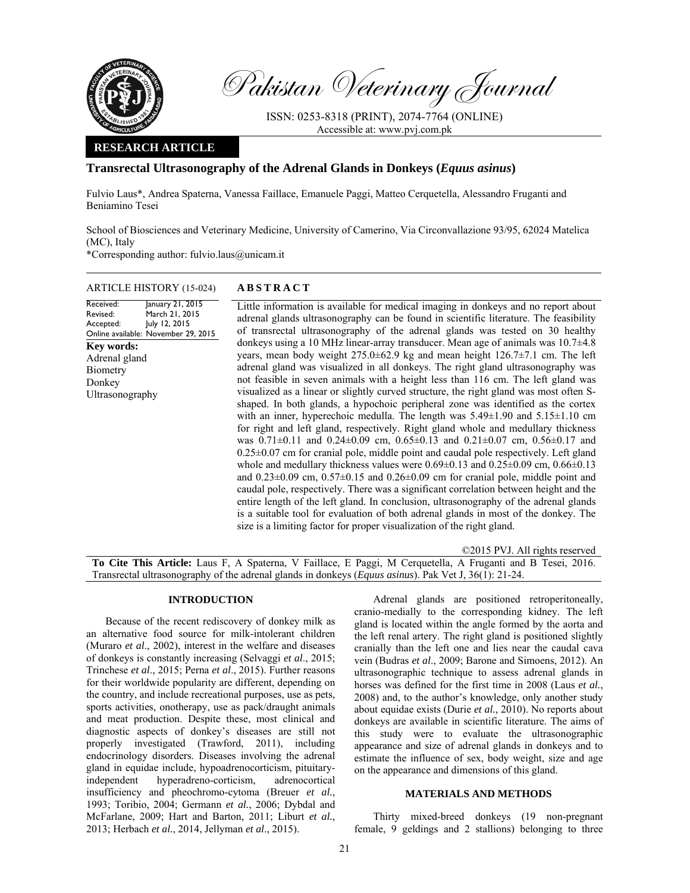

Pakistan Veterinary Journal

ISSN: 0253-8318 (PRINT), 2074-7764 (ONLINE) Accessible at: www.pvj.com.pk

## **RESEARCH ARTICLE**

# **Transrectal Ultrasonography of the Adrenal Glands in Donkeys (***Equus asinus***)**

Fulvio Laus\*, Andrea Spaterna, Vanessa Faillace, Emanuele Paggi, Matteo Cerquetella, Alessandro Fruganti and Beniamino Tesei

School of Biosciences and Veterinary Medicine, University of Camerino, Via Circonvallazione 93/95, 62024 Matelica (MC), Italy

\*Corresponding author: fulvio.laus@unicam.it

## ARTICLE HISTORY (15-024) **ABSTRACT**

Received: Revised: Accepted: Online available: November 29, 2015 January 21, 2015 March 21, 2015 July 12, 2015 Little information is available for medical imaging in donkeys and no report about adrenal glands ultrasonography can be found in scientific literature. The feasibility of transrectal ultrasonography of the adrenal glands was tested on 30 healthy donkeys using a 10 MHz linear-array transducer. Mean age of animals was 10.7±4.8 years, mean body weight 275.0±62.9 kg and mean height 126.7±7.1 cm. The left adrenal gland was visualized in all donkeys. The right gland ultrasonography was not feasible in seven animals with a height less than 116 cm. The left gland was visualized as a linear or slightly curved structure, the right gland was most often Sshaped. In both glands, a hypochoic peripheral zone was identified as the cortex with an inner, hyperechoic medulla. The length was  $5.49\pm1.90$  and  $5.15\pm1.10$  cm for right and left gland, respectively. Right gland whole and medullary thickness was  $0.71\pm0.11$  and  $0.24\pm0.09$  cm,  $0.65\pm0.13$  and  $0.21\pm0.07$  cm,  $0.56\pm0.17$  and 0.25±0.07 cm for cranial pole, middle point and caudal pole respectively. Left gland whole and medullary thickness values were  $0.69\pm0.13$  and  $0.25\pm0.09$  cm,  $0.66\pm0.13$ and  $0.23\pm0.09$  cm,  $0.57\pm0.15$  and  $0.26\pm0.09$  cm for cranial pole, middle point and caudal pole, respectively. There was a significant correlation between height and the entire length of the left gland. In conclusion, ultrasonography of the adrenal glands is a suitable tool for evaluation of both adrenal glands in most of the donkey. The size is a limiting factor for proper visualization of the right gland. **Key words:**  Adrenal gland Biometry Donkey Ultrasonography

©2015 PVJ. All rights reserved **To Cite This Article:** Laus F, A Spaterna, V Faillace, E Paggi, M Cerquetella, A Fruganti and B Tesei, 2016. Transrectal ultrasonography of the adrenal glands in donkeys (*Equus asinus*). Pak Vet J, 36(1): 21-24.

#### **INTRODUCTION**

Because of the recent rediscovery of donkey milk as an alternative food source for milk-intolerant children (Muraro *et al*., 2002), interest in the welfare and diseases of donkeys is constantly increasing (Selvaggi *et al*., 2015; Trinchese *et al*., 2015; Perna *et al*., 2015). Further reasons for their worldwide popularity are different, depending on the country, and include recreational purposes, use as pets, sports activities, onotherapy, use as pack/draught animals and meat production. Despite these, most clinical and diagnostic aspects of donkey's diseases are still not properly investigated (Trawford, 2011), including endocrinology disorders. Diseases involving the adrenal gland in equidae include, hypoadrenocorticism, pituitaryindependent hyperadreno-corticism, adrenocortical insufficiency and pheochromo-cytoma (Breuer *et al.*, 1993; Toribio, 2004; Germann *et al.*, 2006; Dybdal and McFarlane, 2009; Hart and Barton, 2011; Liburt *et al.*, 2013; Herbach *et al.*, 2014, Jellyman *et al*., 2015).

Adrenal glands are positioned retroperitoneally, cranio-medially to the corresponding kidney. The left gland is located within the angle formed by the aorta and the left renal artery. The right gland is positioned slightly cranially than the left one and lies near the caudal cava vein (Budras *et al*., 2009; Barone and Simoens, 2012). An ultrasonographic technique to assess adrenal glands in horses was defined for the first time in 2008 (Laus *et al.*, 2008) and, to the author's knowledge, only another study about equidae exists (Durie *et al.*, 2010). No reports about donkeys are available in scientific literature. The aims of this study were to evaluate the ultrasonographic appearance and size of adrenal glands in donkeys and to estimate the influence of sex, body weight, size and age on the appearance and dimensions of this gland.

### **MATERIALS AND METHODS**

Thirty mixed-breed donkeys (19 non-pregnant female, 9 geldings and 2 stallions) belonging to three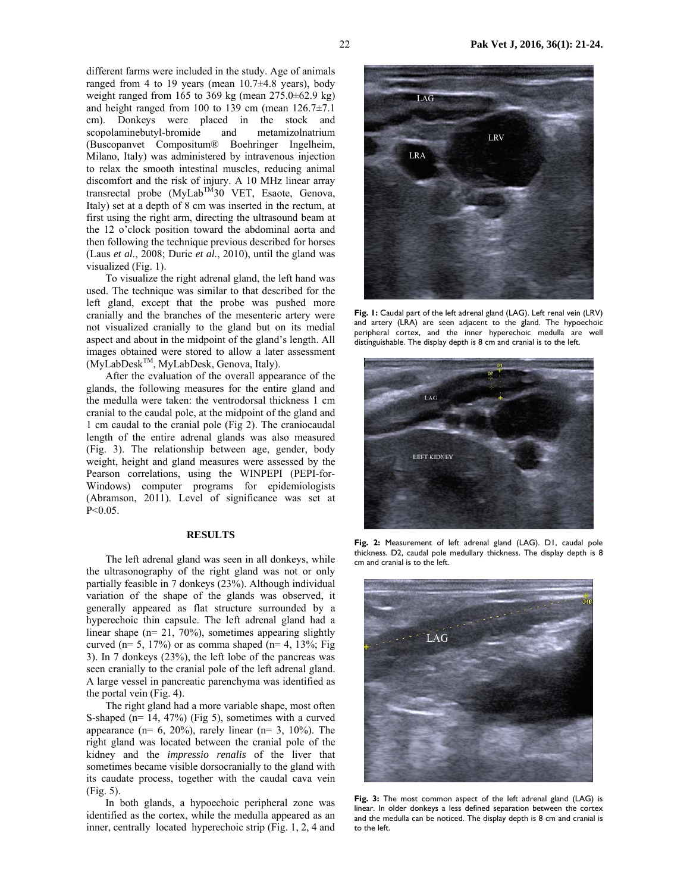different farms were included in the study. Age of animals ranged from 4 to 19 years (mean  $10.7\pm4.8$  years), body weight ranged from 165 to 369 kg (mean  $275.0\pm62.9$  kg) and height ranged from 100 to 139 cm (mean  $126.7\pm7.1$ ) cm). Donkeys were placed in the stock and scopolaminebutyl-bromide and metamizolnatrium (Buscopanvet Compositum® Boehringer Ingelheim, Milano, Italy) was administered by intravenous injection to relax the smooth intestinal muscles, reducing animal discomfort and the risk of injury. A 10 MHz linear array transrectal probe  $(MyLab^{TM}30$  VET, Esaote, Genova, Italy) set at a depth of 8 cm was inserted in the rectum, at first using the right arm, directing the ultrasound beam at the 12 o'clock position toward the abdominal aorta and then following the technique previous described for horses (Laus *et al.*, 2008; Durie *et al.*, 2010), until the gland was visualized (Fig. 1).

To visualize the right adrenal gland, the left hand was used. The technique was similar to that described for the left gland, except that the probe was pushed more cranially and the branches of the mesenteric artery were not visualized cranially to the gland but on its medial aspect and about in the midpoint of the gland's length. All images obtained were stored to allow a later assessment (MyLabDeskTM, MyLabDesk, Genova, Italy).

After the evaluation of the overall appearance of the glands, the following measures for the entire gland and the medulla were taken: the ventrodorsal thickness 1 cm cranial to the caudal pole, at the midpoint of the gland and 1 cm caudal to the cranial pole (Fig 2). The craniocaudal length of the entire adrenal glands was also measured (Fig. 3). The relationship between age, gender, body weight, height and gland measures were assessed by the Pearson correlations, using the WINPEPI (PEPI-for-Windows) computer programs for epidemiologists (Abramson, 2011). Level of significance was set at  $P<0.05$ .

#### **RESULTS**

The left adrenal gland was seen in all donkeys, while the ultrasonography of the right gland was not or only partially feasible in 7 donkeys (23%). Although individual variation of the shape of the glands was observed, it generally appeared as flat structure surrounded by a hyperechoic thin capsule. The left adrenal gland had a linear shape (n= 21, 70%), sometimes appearing slightly curved (n= 5, 17%) or as comma shaped (n= 4, 13%; Fig 3). In 7 donkeys (23%), the left lobe of the pancreas was seen cranially to the cranial pole of the left adrenal gland. A large vessel in pancreatic parenchyma was identified as the portal vein (Fig. 4).

The right gland had a more variable shape, most often S-shaped (n= 14, 47%) (Fig 5), sometimes with a curved appearance (n=  $6, 20\%$ ), rarely linear (n=  $3, 10\%$ ). The right gland was located between the cranial pole of the kidney and the *impressio renalis* of the liver that sometimes became visible dorsocranially to the gland with its caudate process, together with the caudal cava vein (Fig. 5).

In both glands, a hypoechoic peripheral zone was identified as the cortex, while the medulla appeared as an inner, centrally located hyperechoic strip (Fig. 1, 2, 4 and



**Fig. 1:** Caudal part of the left adrenal gland (LAG). Left renal vein (LRV) and artery (LRA) are seen adjacent to the gland. The hypoechoic peripheral cortex, and the inner hyperechoic medulla are well distinguishable. The display depth is 8 cm and cranial is to the left.



**Fig. 2:** Measurement of left adrenal gland (LAG). D1, caudal pole thickness. D2, caudal pole medullary thickness. The display depth is 8 cm and cranial is to the left.



**Fig. 3:** The most common aspect of the left adrenal gland (LAG) is linear. In older donkeys a less defined separation between the cortex and the medulla can be noticed. The display depth is 8 cm and cranial is to the left.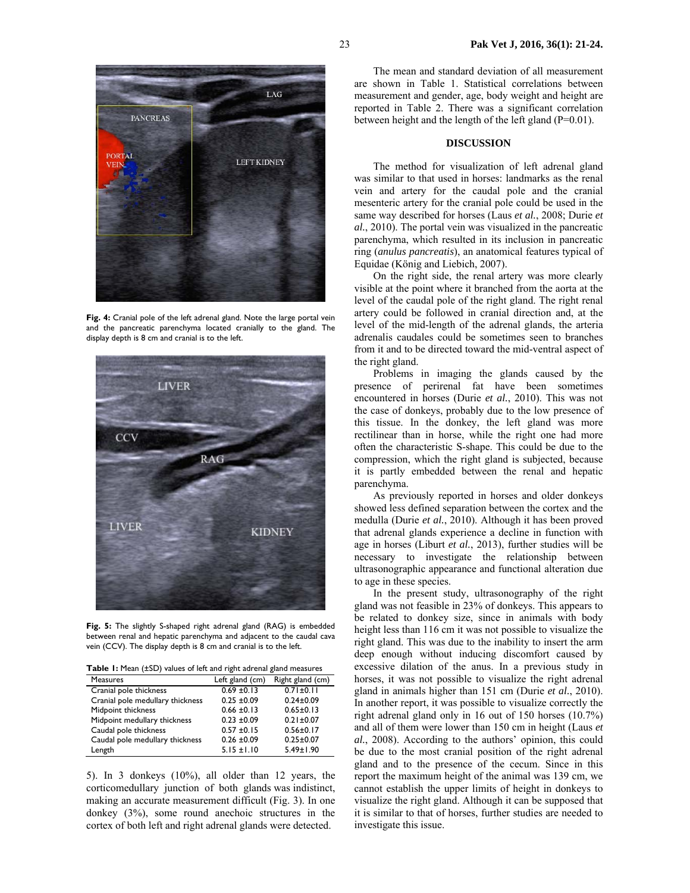

**Fig. 4:** Cranial pole of the left adrenal gland. Note the large portal vein and the pancreatic parenchyma located cranially to the gland. The display depth is 8 cm and cranial is to the left.



Fig. 5: The slightly S-shaped right adrenal gland (RAG) is embedded between renal and hepatic parenchyma and adjacent to the caudal cava vein (CCV). The display depth is 8 cm and cranial is to the left.

| <b>Table I:</b> Mean (±SD) values of left and right adrenal gland measures |  |
|----------------------------------------------------------------------------|--|
|----------------------------------------------------------------------------|--|

| <b>Measures</b>                  | Left gland (cm) | Right gland (cm) |
|----------------------------------|-----------------|------------------|
| Cranial pole thickness           | $0.69 \pm 0.13$ | $0.71 \pm 0.11$  |
| Cranial pole medullary thickness | $0.25 \pm 0.09$ | $0.24 \pm 0.09$  |
| Midpoint thickness               | $0.66 \pm 0.13$ | $0.65 \pm 0.13$  |
| Midpoint medullary thickness     | $0.23 \pm 0.09$ | $0.21 \pm 0.07$  |
| Caudal pole thickness            | $0.57 \pm 0.15$ | $0.56 \pm 0.17$  |
| Caudal pole medullary thickness  | $0.26 \pm 0.09$ | $0.25 \pm 0.07$  |
| Length                           | $5.15 \pm 1.10$ | $5.49 \pm 1.90$  |

5). In 3 donkeys (10%), all older than 12 years, the corticomedullary junction of both glands was indistinct, making an accurate measurement difficult (Fig. 3). In one donkey (3%), some round anechoic structures in the cortex of both left and right adrenal glands were detected.

The mean and standard deviation of all measurement are shown in Table 1. Statistical correlations between measurement and gender, age, body weight and height are reported in Table 2. There was a significant correlation between height and the length of the left gland (P=0.01).

## **DISCUSSION**

The method for visualization of left adrenal gland was similar to that used in horses: landmarks as the renal vein and artery for the caudal pole and the cranial mesenteric artery for the cranial pole could be used in the same way described for horses (Laus *et al.*, 2008; Durie *et al.*, 2010). The portal vein was visualized in the pancreatic parenchyma, which resulted in its inclusion in pancreatic ring (*anulus pancreatis*), an anatomical features typical of Equidae (König and Liebich, 2007).

On the right side, the renal artery was more clearly visible at the point where it branched from the aorta at the level of the caudal pole of the right gland. The right renal artery could be followed in cranial direction and, at the level of the mid-length of the adrenal glands, the arteria adrenalis caudales could be sometimes seen to branches from it and to be directed toward the mid-ventral aspect of the right gland.

Problems in imaging the glands caused by the presence of perirenal fat have been sometimes encountered in horses (Durie *et al.*, 2010). This was not the case of donkeys, probably due to the low presence of this tissue. In the donkey, the left gland was more rectilinear than in horse, while the right one had more often the characteristic S-shape. This could be due to the compression, which the right gland is subjected, because it is partly embedded between the renal and hepatic parenchyma.

As previously reported in horses and older donkeys showed less defined separation between the cortex and the medulla (Durie *et al.*, 2010). Although it has been proved that adrenal glands experience a decline in function with age in horses (Liburt *et al.*, 2013), further studies will be necessary to investigate the relationship between ultrasonographic appearance and functional alteration due to age in these species.

In the present study, ultrasonography of the right gland was not feasible in 23% of donkeys. This appears to be related to donkey size, since in animals with body height less than 116 cm it was not possible to visualize the right gland. This was due to the inability to insert the arm deep enough without inducing discomfort caused by excessive dilation of the anus. In a previous study in horses, it was not possible to visualize the right adrenal gland in animals higher than 151 cm (Durie *et al.*, 2010). In another report, it was possible to visualize correctly the right adrenal gland only in 16 out of 150 horses (10.7%) and all of them were lower than 150 cm in height (Laus *et al.*, 2008). According to the authors' opinion, this could be due to the most cranial position of the right adrenal gland and to the presence of the cecum. Since in this report the maximum height of the animal was 139 cm, we cannot establish the upper limits of height in donkeys to visualize the right gland. Although it can be supposed that it is similar to that of horses, further studies are needed to investigate this issue.